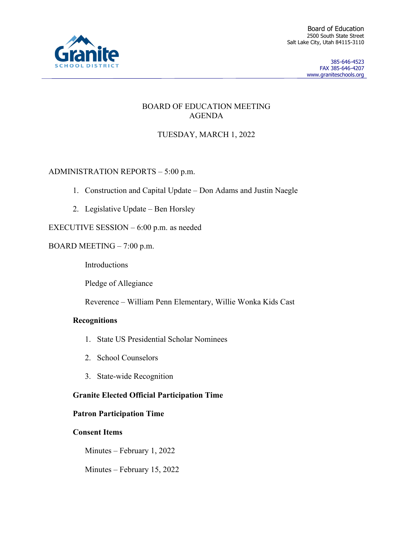

### BOARD OF EDUCATION MEETING AGENDA

# TUESDAY, MARCH 1, 2022

# ADMINISTRATION REPORTS – 5:00 p.m.

- 1. Construction and Capital Update Don Adams and Justin Naegle
- 2. Legislative Update Ben Horsley

# EXECUTIVE SESSION – 6:00 p.m. as needed

# BOARD MEETING – 7:00 p.m.

Introductions

Pledge of Allegiance

Reverence – William Penn Elementary, Willie Wonka Kids Cast

### **Recognitions**

- 1. State US Presidential Scholar Nominees
- 2. School Counselors
- 3. State-wide Recognition

# **Granite Elected Official Participation Time**

### **Patron Participation Time**

### **Consent Items**

Minutes – February 1, 2022

Minutes – February 15, 2022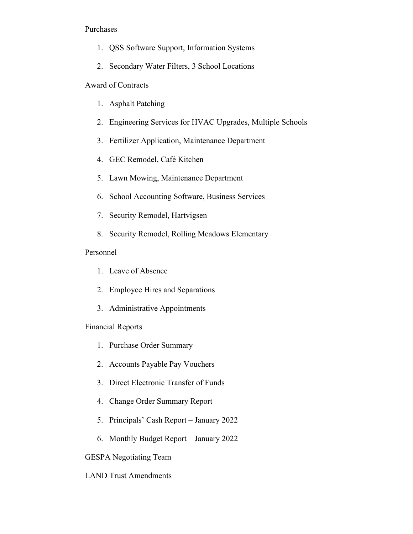#### Purchases

- 1. QSS Software Support, Information Systems
- 2. Secondary Water Filters, 3 School Locations

#### Award of Contracts

- 1. Asphalt Patching
- 2. Engineering Services for HVAC Upgrades, Multiple Schools
- 3. Fertilizer Application, Maintenance Department
- 4. GEC Remodel, Café Kitchen
- 5. Lawn Mowing, Maintenance Department
- 6. School Accounting Software, Business Services
- 7. Security Remodel, Hartvigsen
- 8. Security Remodel, Rolling Meadows Elementary

### Personnel

- 1. Leave of Absence
- 2. Employee Hires and Separations
- 3. Administrative Appointments

#### Financial Reports

- 1. Purchase Order Summary
- 2. Accounts Payable Pay Vouchers
- 3. Direct Electronic Transfer of Funds
- 4. Change Order Summary Report
- 5. Principals' Cash Report January 2022
- 6. Monthly Budget Report January 2022

### GESPA Negotiating Team

### LAND Trust Amendments